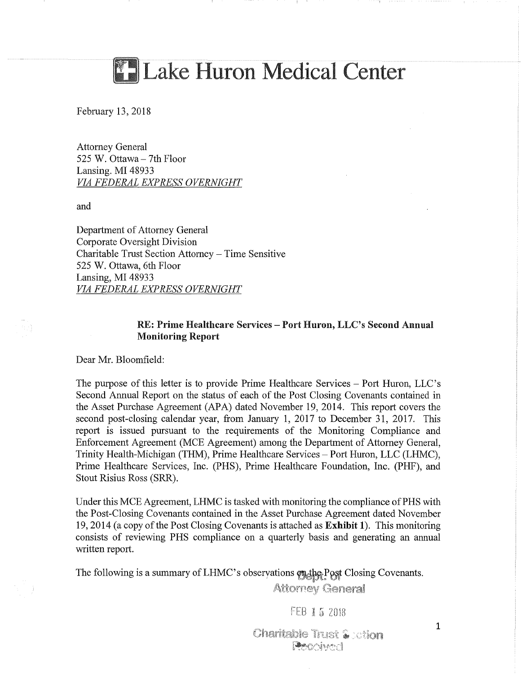

February 13, 2018

Attorney General 525 W. Ottawa - 7th Floor Lansing. MI 48933 *VIA FEDERAL EXPRESS OVERNIGHT* 

and

Department of Attorney General Corporate Oversight Division Charitable Trust Section Attorney - Time Sensitive 525 W. Ottawa, 6th Floor Lansing, MI 48933 *VIA FEDERAL EXPRESS OVERNIGHT* 

# RE: Prime Healthcare Services - Port Huron, LLC's Second Annual Monitoring Report

Dear Mr. Bloomfield:

The purpose of this letter is to provide Prime Healthcare Services – Port Huron, LLC's Second Annual Report on the status of each of the Post Closing Covenants contained in the Asset Purchase Agreement (APA) dated November 19, 2014. This report covers the second post-closing calendar year, from January 1, 2017 to December 31, 2017. This report is issued pursuant to the requirements of the Monitoring Compliance and Enforcement Agreement (MCE Agreement) among the Department of Attorney General, Trinity Health-Michigan (THM), Prime Healthcare Services - Port Huron, LLC (LHMC), Prime Healthcare Services, Inc. (PHS), Prime Healthcare Foundation, Inc. (PHF), and Stout Risius Ross (SRR).

Under this MCE Agreement, LHMC is tasked with monitoring the compliance of PHS with the Post-Closing Covenants contained in the Asset Purchase Agreement dated November 19, 2014 (a copy of the Post Closing Covenants is attached as Exhibit 1). This monitoring consists of reviewing PHS compliance on a quarterly basis and generating an annual written report.

The following is a summary of LHMC's observations on the Post Closing Covenants.

**Attorney General** 

FEB 15 2018

**Charitable Trust & ction** Propincol

1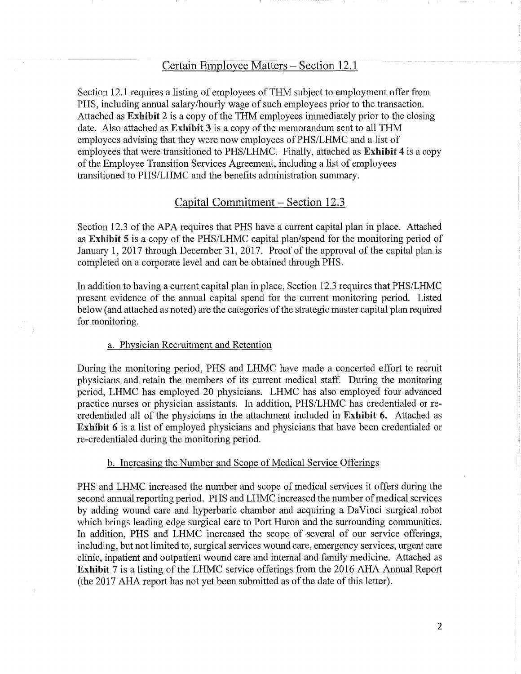# Certain Employee Matters – Section 12.1

Section 12.1 requires a listing of employees of THM subject to employment offer from PHS, including annual salary/hourly wage of such employees prior to the transaction. Attached as Exhibit 2 is a copy of the THM employees immediately prior to the closing date. Also attached as Exhibit 3 is a copy of the memorandum sent to all THM employees advising that they were now employees of PHS/LHMC and a list of employees that were transitioned to PHS/LHMC. Finally, attached as Exhibit 4 is a copy of the Employee Transition Services Agreement, including a list of employees transitioned to PHS/LHMC and the benefits administration summary.

# Capital Commitment- Section 12.3

Section 12.3 of the APA requires that PHS have a current capital plan in place. Attached as Exhibit 5 is a copy of the PHS/LHMC capital plan/spend for the monitoring period of January 1, 2017 through December 31, 2017. Proof of the approval of the capital plan is completed on a corporate level and can be obtained through PHS.

In addition to having a current capital plan in place, Section 12.3 requires that PHS/LHMC present evidence of the annual capital spend for the current monitoring period. Listed below (and attached as noted) are the categories of the strategic master capital plan required for monitoring.

## a. Physician Recruitment and Retention

During the monitoring period, PHS and LHMC have made a concerted effort to recruit physicians and retain the members of its current medical staff. During the monitoring period, LHMC has employed 20 physicians. LHMC has also employed four advanced practice nurses or physician assistants. In addition, PHS/LHMC has credentialed or recredentialed all of the physicians in the attachment included in Exhibit 6. Attached as Exhibit 6 is a list of employed physicians and physicians that have been credentialed or re-credentialed during the monitoring period.

#### b. Increasing the Number and Scope of Medical Service Offerings

PHS and LHMC increased the number and scope of medical services it offers during the second annual reporting period. PHS and LHMC increased the number of medical services by adding wound care and hyperbaric chamber and acquiring a DaVinci surgical robot which brings leading edge surgical care to Port Huron and the surrounding communities. In addition, PHS and LHMC increased the scope of several of our service offerings, including, but not limited to, surgical services wound care, emergency services, urgent care clinic, inpatient and outpatient wound care and internal and family medicine. Attached as Exhibit 7 is a listing of the LHMC service offerings from the 2016 AHA Annual Report (the 2017 AHA report has not yet been submitted as of the date of this letter).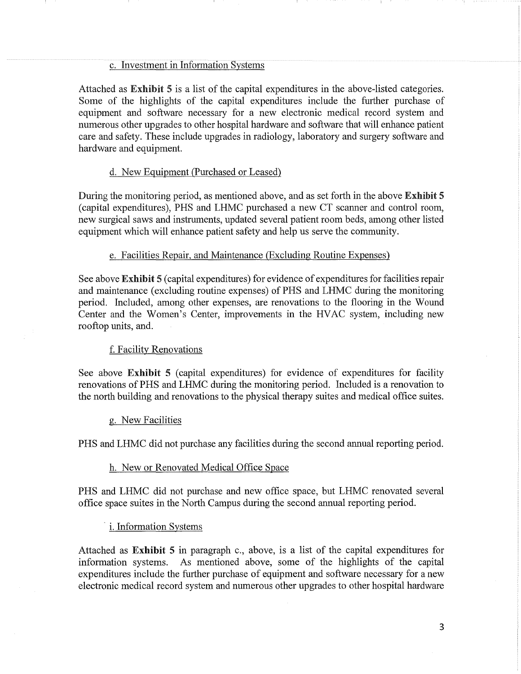## c. Investment in Information Systems

Attached as Exhibit 5 is a list of the capital expenditures in the above-listed categories. Some of the highlights of the capital expenditures include the further purchase of equipment and software necessary for a new electronic medical record system and numerous other upgrades to other hospital hardware and software that will enhance patient care and safety. These include upgrades in radiology, laboratory and surgery software and hardware and equipment.

## d. New Equipment (Purchased or Leased)

During the monitoring period, as mentioned above, and as set forth in the above Exhibit 5 (capital expenditures), PHS and LHMC purchased a new CT scanner and control room, new surgical saws and instruments, updated several patient room beds, among other listed equipment which will enhance patient safety and help us serve the community.

## e. Facilities Repair, and Maintenance (Excluding Routine Expenses)

See above Exhibit 5 (capital expenditures) for evidence of expenditures for facilities repair and maintenance (excluding routine expenses) of PHS and LHMC during the monitoring period. Included, among other expenses, are renovations to the flooring in the Wound Center and the Women's Center, improvements in the HVAC system, including new rooftop units, and.

### f. Facility Renovations

See above Exhibit 5 (capital expenditures) for evidence of expenditures for facility renovations of PHS and LHMC during the monitoring period. Included is a renovation to the north building and renovations to the physical therapy suites and medical office suites.

#### g. New Facilities

PHS and LHMC did not purchase any facilities during the second annual reporting period.

#### h. New or Renovated Medical Office Space

PHS and LHMC did not purchase and new office space, but LHMC renovated several office space suites in the North Campus during the second annual reporting period.

i. Information Systems

Attached as Exhibit 5 in paragraph c., above, is a list of the capital expenditures for information systems. As mentioned above, some of the highlights of the capital expenditures include the further purchase of equipment and software necessary for a new electronic medical record system and numerous other upgrades to other hospital hardware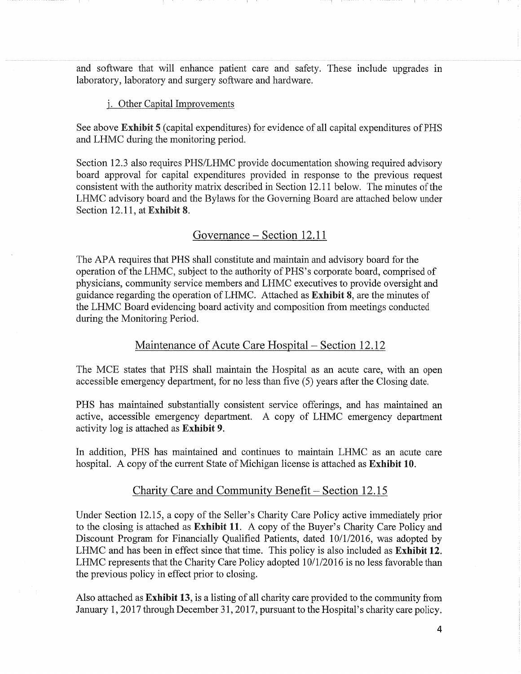and software that will enhance patient care and safety. These include upgrades in laboratory, laboratory and surgery software and hardware.

#### j. Other Capital Improvements

See above Exhibit 5 (capital expenditures) for evidence of all capital expenditures of PHS and LHMC during the monitoring period.

Section 12.3 also requires PHS/LHMC provide documentation showing required advisory board approval for capital expenditures provided in response to the previous request consistent with the authority matrix described in Section 12.11 below. The minutes of the LHMC advisory board and the Bylaws for the Governing Board are attached below under Section 12.11, at Exhibit 8.

## Governance - Section 12.11

The APA requires that PHS shall constitute and maintain and advisory board for the operation of the LHMC, subject to the authority of PHS's corporate board, comprised of physicians, community service members and LHMC executives to provide oversight and guidance regarding the operation of LHMC. Attached as Exhibit 8, are the minutes of the LHMC Board evidencing board activity and composition from meetings conducted during the Monitoring Period.

## Maintenance of Acute Care Hospital – Section 12.12

The MCE states that PHS shall maintain the Hospital as an acute care, with an open accessible emergency department, for no less than five (5) years after the Closing date.

PHS has maintained substantially consistent service offerings, and has maintained an active, accessible emergency department. A copy of LHMC emergency department activity log is attached as Exhibit 9.

In addition, PHS has maintained and continues to maintain LHMC as an acute care hospital. A copy of the current State of Michigan license is attached as Exhibit 10.

## Charity Care and Community Benefit - Section 12.15

Under Section 12.15, a copy of the Seller's Charity Care Policy active immediately prior to the closing is attached as Exhibit 11. A copy of the Buyer's Charity Care Policy and Discount Program for Financially Qualified Patients, dated 10/1/2016, was adopted by LHMC and has been in effect since that time. This policy is also included as Exhibit 12. LHMC represents that the Charity Care Policy adopted 10/1/2016 is no less favorable than the previous policy in effect prior to closing.

Also attached as Exhibit 13, is a listing of all charity care provided to the community from January 1, 2017 through December 31, 2017, pursuant to the Hospital's charity care policy.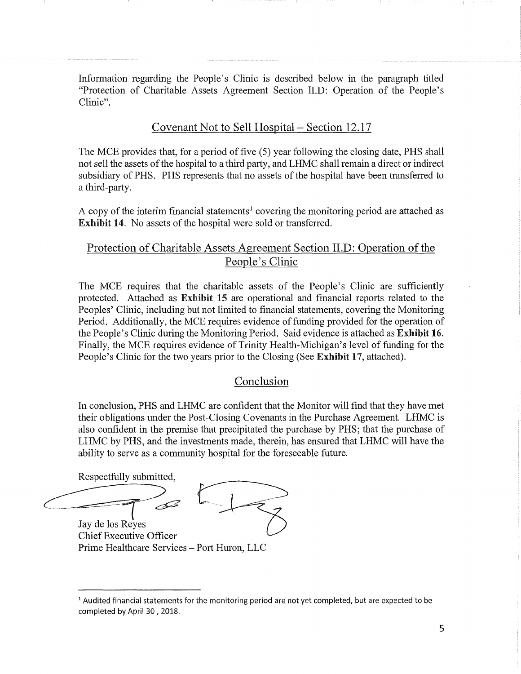Information regarding the People's Clinic is described below in the paragraph titled "Protection of Charitable Assets Agreement Section II.D: Operation of the People's Clinic".

# Covenant Not to Sell Hospital - Section 12.17

The MCE provides that, for a period of five (5) year following the closing date, PHS shall not sell the assets of the hospital to a third party, and LHMC shall remain a direct or indirect subsidiary of PHS. PHS represents that no assets of the hospital have been transferred to a third-party.

A copy of the interim financial statements<sup>1</sup> covering the monitoring period are attached as Exhibit 14. No assets of the hospital were sold or transferred.

# Protection of Charitable Assets Agreement Section II.D: Operation of the People's Clinic

The MCE requires that the charitable assets of the People's Clinic are sufficiently protected. Attached as Exhibit 15 are operational and financial reports related to the Peoples' Clinic, including but not limited to financial statements, covering the Monitoring Period. Additionally, the MCE requires evidence of funding provided for the operation of the People's Clinic during the Monitoring Period. Said evidence is attached as Exhibit 16. Finally, the MCE requires evidence of Trinity Health-Michigan's level of funding for the People's Clinic for the two years prior to the Closing (See Exhibit 17, attached).

# Conclusion

In conclusion, PHS and LHMC are confident that the Monitor will find that they have met their obligations under the Post-Closing Covenants in the Purchase Agreement. LHMC is also confident in the premise that precipitated the purchase by PHS; that the purchase of LHMC by PHS, and the investments made, therein, has ensured that LHMC will have the ability to serve as a community hospital for the foreseeable future.

Respectfully submitted,

 $\sqrt{2}$ Jay de los Reyes Chief Executive Officer

Prime Healthcare Services - Port Huron, LLC

 $<sup>1</sup>$  Audited financial statements for the monitoring period are not yet completed, but are expected to be</sup> completed by April 30, 2018.